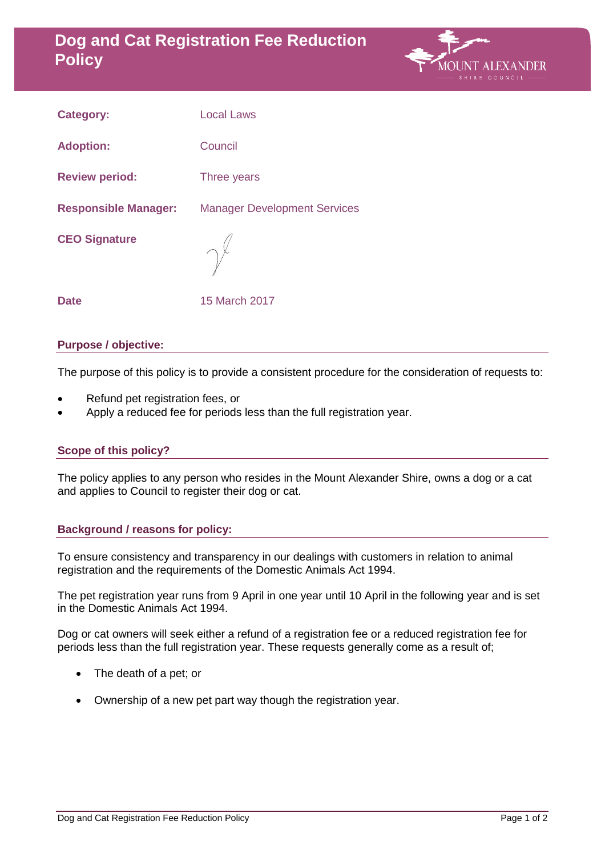# **Dog and Cat Registration Fee Reduction Policy**



| <b>Category:</b>            | <b>Local Laws</b>                   |
|-----------------------------|-------------------------------------|
| <b>Adoption:</b>            | Council                             |
| <b>Review period:</b>       | Three years                         |
| <b>Responsible Manager:</b> | <b>Manager Development Services</b> |
| <b>CEO Signature</b>        |                                     |
| <b>Date</b>                 | 15 March 2017                       |

#### **Purpose / objective:**

The purpose of this policy is to provide a consistent procedure for the consideration of requests to:

- Refund pet registration fees, or
- Apply a reduced fee for periods less than the full registration year.

# **Scope of this policy?**

The policy applies to any person who resides in the Mount Alexander Shire, owns a dog or a cat and applies to Council to register their dog or cat.

# **Background / reasons for policy:**

To ensure consistency and transparency in our dealings with customers in relation to animal registration and the requirements of the Domestic Animals Act 1994.

The pet registration year runs from 9 April in one year until 10 April in the following year and is set in the Domestic Animals Act 1994.

Dog or cat owners will seek either a refund of a registration fee or a reduced registration fee for periods less than the full registration year. These requests generally come as a result of;

- The death of a pet; or
- Ownership of a new pet part way though the registration year.